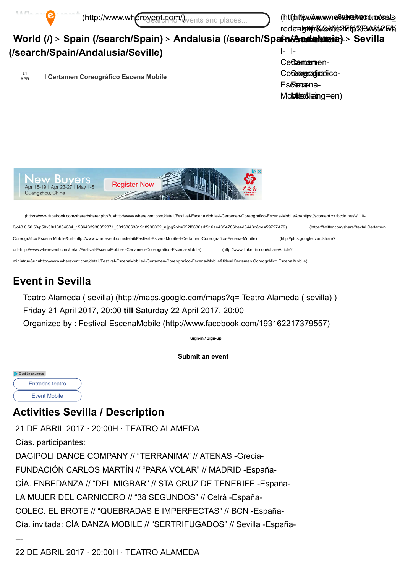



(https://www.facebook.com/sharer/sharer.php?u=http://www.wherevent.com/detail/Festival-EscenaMobile-I-Certamen-Coreografico-Escena-Mobile&p=https://scontent.xx.fbcdn.net/v/t1.0-

[0/c43.0.50.50/p50x50/16864684\\_1586433938052371\\_3013886381918930062\\_n.jpg?oh=652f8636adf916ae4354786be4d8443c&oe=59727A79\)](https://twitter.com/share?text=I%20Certamen%20Coreogr%C3%A1fico%20Escena%20Mobile&url=http://www.wherevent.com/detail/Festival-EscenaMobile-I-Certamen-Coreografico-Escena-Mobile) (https://twitter.com/share?text=I Certamen

Coreográfico Escena Mobile&url=http://www.wherevent.com/detail/Festival-EscenaMobile-I-Certamen-Coreografico-Escena-Mobile) (http://plus.google.com/share?

url=http://www.wherevent.com/detail/FestivalEscenaMobileICertamenCoreograficoEscenaMobile) (http://www.linkedin.com/shareArticle?

mini=true&url=http://www.wherevent.com/detail/Festival-EscenaMobile-I-Certamen-Coreografico-Escena-Mobile&title=I Certamen Coreográfico Escena Mobile)

## Event in Sevilla

Teatro Alameda ( sevilla) [\(http://maps.google.com/maps?q=](http://maps.google.com/maps?q=%20Teatro%20Alameda%20(%20sevilla)) Teatro Alameda ( sevilla) ) Friday 21 April 2017, 20:00 till Saturday 22 April 2017, 20:00 Organized by : Festival EscenaMobile [\(http://www.facebook.com/193162217379557\)](http://www.facebook.com/193162217379557)

Sign-in / Sign-up

Submit an event

| Gestión anuncios       |  |
|------------------------|--|
| <b>Entradas teatro</b> |  |
| <b>Event Mobile</b>    |  |

# Activities Sevilla / Description

21 DE ABRIL 2017 · 20:00H · TEATRO ALAMEDA

Cías. participantes:

DAGIPOLI DANCE COMPANY // "TERRANIMA" // ATENAS -Grecia-FUNDACIÓN CARLOS MARTÍN // "PARA VOLAR" // MADRID - España-CÍA. ENBEDANZA // "DEL MIGRAR" // STA CRUZ DE TENERIFE - España-LA MUJER DEL CARNICERO // "38 SEGUNDOS" // Celrà -España-COLEC. EL BROTE // "QUEBRADAS E IMPERFECTAS" // BCN -España-Cía. invitada: CÍA DANZA MOBILE // "SERTRIFUGADOS" // Sevilla -España-

---